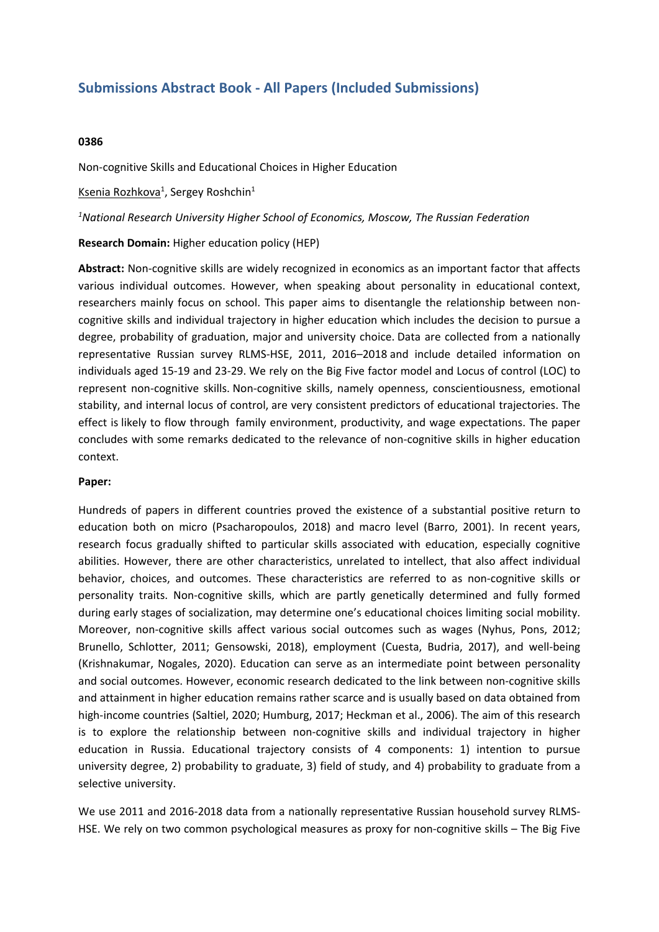# **Submissions Abstract Book - All Papers (Included Submissions)**

## **0386**

Non-cognitive Skills and Educational Choices in Higher Education

<u>Ksenia Rozhkova</u><sup>1</sup>, Sergey Roshchin<sup>1</sup>

#### *1 National Research University Higher School of Economics, Moscow, The Russian Federation*

### **Research Domain:** Higher education policy (HEP)

**Abstract:** Non-cognitive skills are widely recognized in economics as an important factor that affects various individual outcomes. However, when speaking about personality in educational context, researchers mainly focus on school. This paper aims to disentangle the relationship between noncognitive skills and individual trajectory in higher education which includes the decision to pursue <sup>a</sup> degree, probability of graduation, major and university choice. Data are collected from <sup>a</sup> nationally representative Russian survey RLMS-HSE, 2011, 2016–2018 and include detailed information on individuals aged 15-19 and 23-29. We rely on the Big Five factor model and Locus of control (LOC) to represent non-cognitive skills. Non-cognitive skills, namely openness, conscientiousness, emotional stability, and internal locus of control, are very consistent predictors of educational trajectories. The effect is likely to flow through family environment, productivity, and wage expectations. The paper concludes with some remarks dedicated to the relevance of non-cognitive skills in higher education context.

#### **Paper:**

Hundreds of papers in different countries proved the existence of <sup>a</sup> substantial positive return to education both on micro (Psacharopoulos, 2018) and macro level (Barro, 2001). In recent years, research focus gradually shifted to particular skills associated with education, especially cognitive abilities. However, there are other characteristics, unrelated to intellect, that also affect individual behavior, choices, and outcomes. These characteristics are referred to as non-cognitive skills or personality traits. Non-cognitive skills, which are partly genetically determined and fully formed during early stages of socialization, may determine one's educational choices limiting social mobility. Moreover, non-cognitive skills affect various social outcomes such as wages (Nyhus, Pons, 2012; Brunello, Schlotter, 2011; Gensowski, 2018), employment (Cuesta, Budria, 2017), and well-being (Krishnakumar, Nogales, 2020). Education can serve as an intermediate point between personality and social outcomes. However, economic research dedicated to the link between non-cognitive skills and attainment in higher education remains rather scarce and is usually based on data obtained from high-income countries (Saltiel, 2020; Humburg, 2017; Heckman et al., 2006). The aim of this research is to explore the relationship between non-cognitive skills and individual trajectory in higher education in Russia. Educational trajectory consists of 4 components: 1) intention to pursue university degree, 2) probability to graduate, 3) field of study, and 4) probability to graduate from <sup>a</sup> selective university.

We use 2011 and 2016-2018 data from <sup>a</sup> nationally representative Russian household survey RLMS-HSE. We rely on two common psychological measures as proxy for non-cognitive skills – The Big Five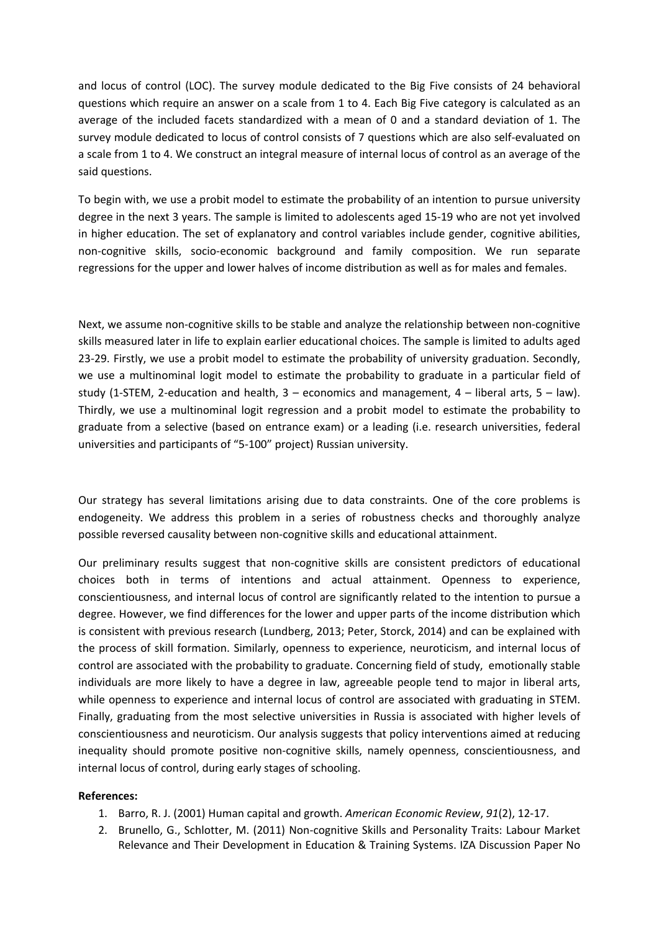and locus of control (LOC). The survey module dedicated to the Big Five consists of 24 behavioral questions which require an answer on <sup>a</sup> scale from 1 to 4. Each Big Five category is calculated as an average of the included facets standardized with <sup>a</sup> mean of 0 and <sup>a</sup> standard deviation of 1. The survey module dedicated to locus of control consists of 7 questions which are also self-evaluated on <sup>a</sup> scale from 1 to 4. We construct an integral measure of internal locus of control as an average of the said questions.

To begin with, we use <sup>a</sup> probit model to estimate the probability of an intention to pursue university degree in the next 3 years. The sample is limited to adolescents aged 15-19 who are not yet involved in higher education. The set of explanatory and control variables include gender, cognitive abilities, non-cognitive skills, socio-economic background and family composition. We run separate regressions for the upper and lower halves of income distribution as well as for males and females.

Next, we assume non-cognitive skills to be stable and analyze the relationship between non-cognitive skills measured later in life to explain earlier educational choices. The sample is limited to adults aged 23-29. Firstly, we use <sup>a</sup> probit model to estimate the probability of university graduation. Secondly, we use <sup>a</sup> multinominal logit model to estimate the probability to graduate in <sup>a</sup> particular field of study (1-STEM, 2-education and health,  $3 -$  economics and management,  $4 -$  liberal arts,  $5 -$  law). Thirdly, we use <sup>a</sup> multinominal logit regression and <sup>a</sup> probit model to estimate the probability to graduate from <sup>a</sup> selective (based on entrance exam) or <sup>a</sup> leading (i.e. research universities, federal universities and participants of "5-100" project) Russian university.

Our strategy has several limitations arising due to data constraints. One of the core problems is endogeneity. We address this problem in <sup>a</sup> series of robustness checks and thoroughly analyze possible reversed causality between non-cognitive skills and educational attainment.

Our preliminary results suggest that non-cognitive skills are consistent predictors of educational choices both in terms of intentions and actual attainment. Openness to experience, conscientiousness, and internal locus of control are significantly related to the intention to pursue <sup>a</sup> degree. However, we find differences for the lower and upper parts of the income distribution which is consistent with previous research (Lundberg, 2013; Peter, Storck, 2014) and can be explained with the process of skill formation. Similarly, openness to experience, neuroticism, and internal locus of control are associated with the probability to graduate. Concerning field of study, emotionally stable individuals are more likely to have <sup>a</sup> degree in law, agreeable people tend to major in liberal arts, while openness to experience and internal locus of control are associated with graduating in STEM. Finally, graduating from the most selective universities in Russia is associated with higher levels of conscientiousness and neuroticism. Our analysis suggests that policy interventions aimed at reducing inequality should promote positive non-cognitive skills, namely openness, conscientiousness, and internal locus of control, during early stages of schooling.

# **References:**

- 1. Barro, R. J. (2001) Human capital and growth. *American Economic Review*, *91*(2), 12-17.
- 2. Brunello, G., Schlotter, M. (2011) Non-cognitive Skills and Personality Traits: Labour Market Relevance and Their Development in Education & Training Systems. IZA Discussion Paper No